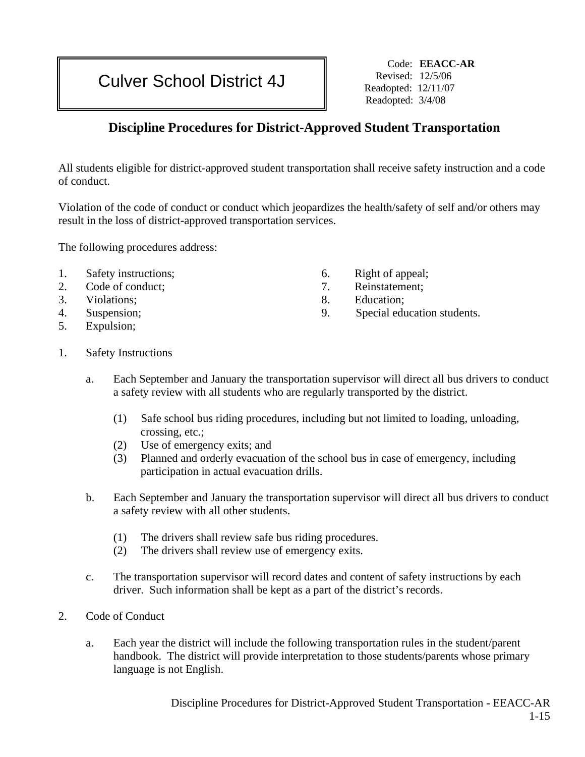# Culver School District 4J Revised: 12/5/06

Code: **EEACC-AR**  Readopted: 12/11/07 Readopted: 3/4/08

# **Discipline Procedures for District-Approved Student Transportation**

All students eligible for district-approved student transportation shall receive safety instruction and a code of conduct.

Violation of the code of conduct or conduct which jeopardizes the health/safety of self and/or others may result in the loss of district-approved transportation services.

The following procedures address:

- 1. Safety instructions;
- 2. Code of conduct;
- 3. Violations;
- 4. Suspension;
- 5. Expulsion;
- 6. Right of appeal;
- 7. Reinstatement;
- 8. Education;
- 9. Special education students.

- 1. Safety Instructions
	- a. Each September and January the transportation supervisor will direct all bus drivers to conduct a safety review with all students who are regularly transported by the district.
		- (1) Safe school bus riding procedures, including but not limited to loading, unloading, crossing, etc.;
		- (2) Use of emergency exits; and
		- (3) Planned and orderly evacuation of the school bus in case of emergency, including participation in actual evacuation drills.
	- b. Each September and January the transportation supervisor will direct all bus drivers to conduct a safety review with all other students.
		- (1) The drivers shall review safe bus riding procedures.
		- (2) The drivers shall review use of emergency exits.
	- c. The transportation supervisor will record dates and content of safety instructions by each driver. Such information shall be kept as a part of the district's records.
- 2. Code of Conduct
	- a. Each year the district will include the following transportation rules in the student/parent handbook. The district will provide interpretation to those students/parents whose primary language is not English.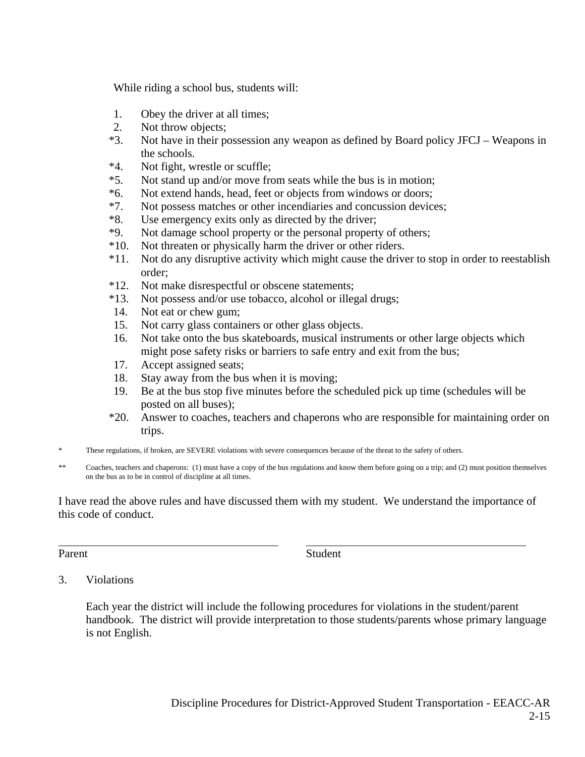While riding a school bus, students will:

- 1. Obey the driver at all times;
- 2. Not throw objects;
- \*3. Not have in their possession any weapon as defined by Board policy JFCJ Weapons in the schools.
- \*4. Not fight, wrestle or scuffle;
- \*5. Not stand up and/or move from seats while the bus is in motion;
- \*6. Not extend hands, head, feet or objects from windows or doors;
- \*7. Not possess matches or other incendiaries and concussion devices;
- \*8. Use emergency exits only as directed by the driver;
- \*9. Not damage school property or the personal property of others;
- \*10. Not threaten or physically harm the driver or other riders.
- \*11. Not do any disruptive activity which might cause the driver to stop in order to reestablish order;
- \*12. Not make disrespectful or obscene statements;
- \*13. Not possess and/or use tobacco, alcohol or illegal drugs;
- 14. Not eat or chew gum;
- 15. Not carry glass containers or other glass objects.
- 16. Not take onto the bus skateboards, musical instruments or other large objects which might pose safety risks or barriers to safe entry and exit from the bus;
- 17. Accept assigned seats;
- 18. Stay away from the bus when it is moving;
- 19. Be at the bus stop five minutes before the scheduled pick up time (schedules will be posted on all buses);
- \*20. Answer to coaches, teachers and chaperons who are responsible for maintaining order on trips.
- \* These regulations, if broken, are SEVERE violations with severe consequences because of the threat to the safety of others.
- \*\* Coaches, teachers and chaperons: (1) must have a copy of the bus regulations and know them before going on a trip; and (2) must position themselves on the bus as to be in control of discipline at all times.

I have read the above rules and have discussed them with my student. We understand the importance of this code of conduct.

 $\overline{a}$ 

Parent Student

#### 3. Violations

Each year the district will include the following procedures for violations in the student/parent handbook. The district will provide interpretation to those students/parents whose primary language is not English.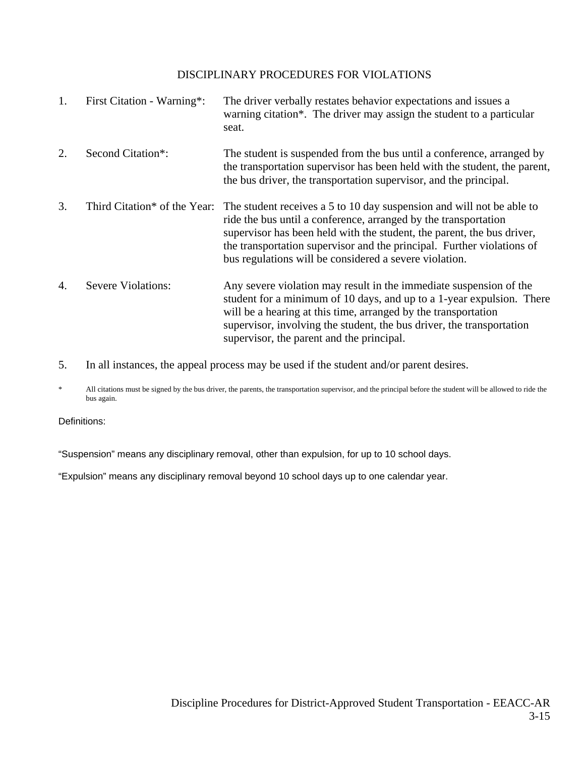#### DISCIPLINARY PROCEDURES FOR VIOLATIONS

| 1. | First Citation - Warning*:   | The driver verbally restates behavior expectations and issues a<br>warning citation <sup>*</sup> . The driver may assign the student to a particular<br>seat.                                                                                                                                                                                          |
|----|------------------------------|--------------------------------------------------------------------------------------------------------------------------------------------------------------------------------------------------------------------------------------------------------------------------------------------------------------------------------------------------------|
| 2. | Second Citation*:            | The student is suspended from the bus until a conference, arranged by<br>the transportation supervisor has been held with the student, the parent,<br>the bus driver, the transportation supervisor, and the principal.                                                                                                                                |
| 3. | Third Citation* of the Year: | The student receives a 5 to 10 day suspension and will not be able to<br>ride the bus until a conference, arranged by the transportation<br>supervisor has been held with the student, the parent, the bus driver,<br>the transportation supervisor and the principal. Further violations of<br>bus regulations will be considered a severe violation. |
| 4. | Severe Violations:           | Any severe violation may result in the immediate suspension of the<br>student for a minimum of 10 days, and up to a 1-year expulsion. There<br>will be a hearing at this time, arranged by the transportation<br>supervisor, involving the student, the bus driver, the transportation<br>supervisor, the parent and the principal.                    |

5. In all instances, the appeal process may be used if the student and/or parent desires.

\* All citations must be signed by the bus driver, the parents, the transportation supervisor*,* and the principal before the student will be allowed to ride the bus again.

Definitions:

"Suspension" means any disciplinary removal, other than expulsion, for up to 10 school days.

"Expulsion" means any disciplinary removal beyond 10 school days up to one calendar year.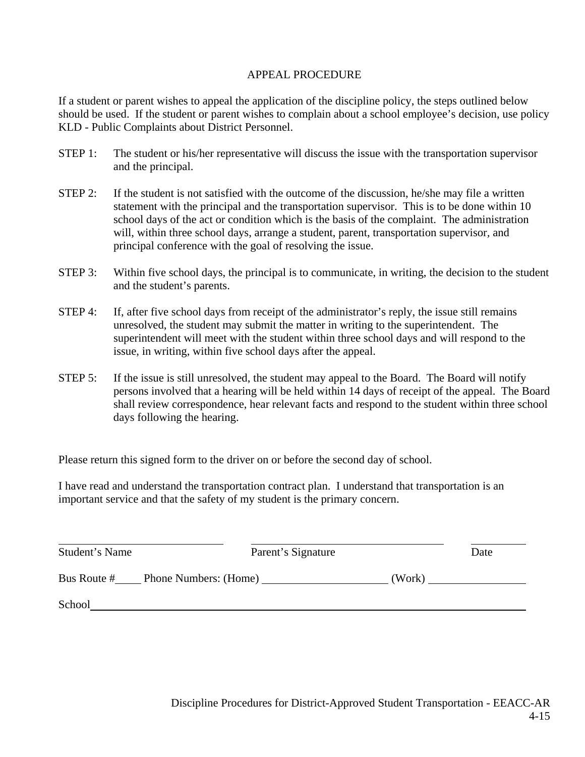#### APPEAL PROCEDURE

If a student or parent wishes to appeal the application of the discipline policy, the steps outlined below should be used. If the student or parent wishes to complain about a school employee's decision, use policy KLD - Public Complaints about District Personnel.

- STEP 1: The student or his/her representative will discuss the issue with the transportation supervisor and the principal.
- STEP 2: If the student is not satisfied with the outcome of the discussion, he/she may file a written statement with the principal and the transportation supervisor. This is to be done within 10 school days of the act or condition which is the basis of the complaint. The administration will, within three school days, arrange a student, parent, transportation supervisor*,* and principal conference with the goal of resolving the issue.
- STEP 3: Within five school days, the principal is to communicate, in writing, the decision to the student and the student's parents.
- STEP 4: If, after five school days from receipt of the administrator's reply, the issue still remains unresolved, the student may submit the matter in writing to the superintendent. The superintendent will meet with the student within three school days and will respond to the issue, in writing, within five school days after the appeal.
- STEP 5: If the issue is still unresolved, the student may appeal to the Board. The Board will notify persons involved that a hearing will be held within 14 days of receipt of the appeal. The Board shall review correspondence, hear relevant facts and respond to the student within three school days following the hearing.

Please return this signed form to the driver on or before the second day of school.

I have read and understand the transportation contract plan. I understand that transportation is an important service and that the safety of my student is the primary concern.

| Student's Name | Parent's Signature    |        | Date |
|----------------|-----------------------|--------|------|
| Bus Route #    | Phone Numbers: (Home) | (Work) |      |
| School         |                       |        |      |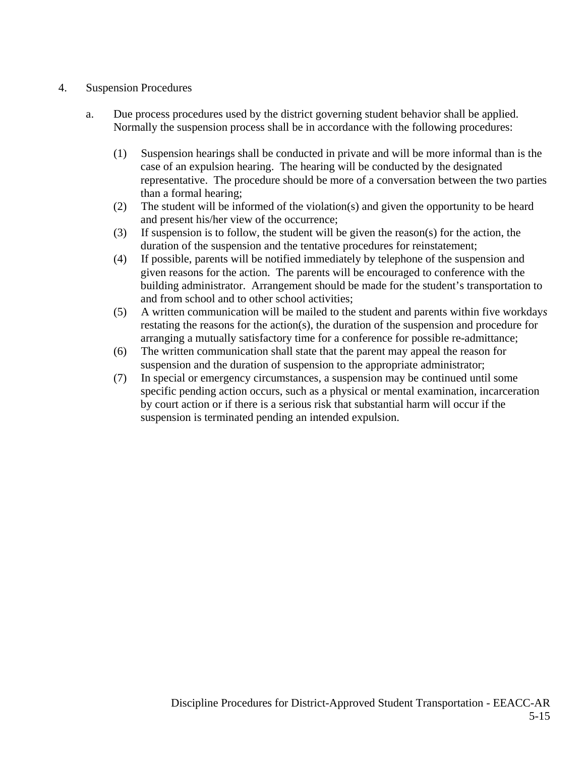## 4. Suspension Procedures

- a. Due process procedures used by the district governing student behavior shall be applied. Normally the suspension process shall be in accordance with the following procedures:
	- (1) Suspension hearings shall be conducted in private and will be more informal than is the case of an expulsion hearing. The hearing will be conducted by the designated representative. The procedure should be more of a conversation between the two parties than a formal hearing;
	- (2) The student will be informed of the violation(s) and given the opportunity to be heard and present his/her view of the occurrence;
	- (3) If suspension is to follow, the student will be given the reason(s) for the action, the duration of the suspension and the tentative procedures for reinstatement;
	- (4) If possible, parents will be notified immediately by telephone of the suspension and given reasons for the action. The parents will be encouraged to conference with the building administrator. Arrangement should be made for the student's transportation to and from school and to other school activities;
	- (5) A written communication will be mailed to the student and parents within five workday*s* restating the reasons for the action(s), the duration of the suspension and procedure for arranging a mutually satisfactory time for a conference for possible re-admittance;
	- (6) The written communication shall state that the parent may appeal the reason for suspension and the duration of suspension to the appropriate administrator;
	- (7) In special or emergency circumstances, a suspension may be continued until some specific pending action occurs, such as a physical or mental examination, incarceration by court action or if there is a serious risk that substantial harm will occur if the suspension is terminated pending an intended expulsion.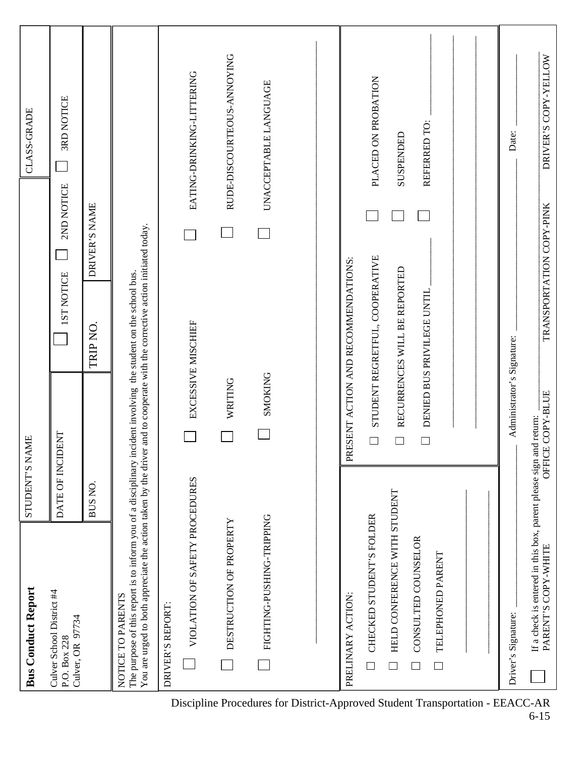| <b>Bus Conduct Report</b>                                                                                                                                                                                                                                            | <b>STUDENT'S NAME</b>      |                                                                |                          | <b>CLASS-GRADE</b>               |
|----------------------------------------------------------------------------------------------------------------------------------------------------------------------------------------------------------------------------------------------------------------------|----------------------------|----------------------------------------------------------------|--------------------------|----------------------------------|
| Culver School District #4<br>Culver, OR 97734<br>P.O. Box 228                                                                                                                                                                                                        | DATE OF INCIDENT           | <b>IST NOTICE</b>                                              | 2ND NOTICE               | <b>3RD NOTICE</b>                |
|                                                                                                                                                                                                                                                                      | BUS NO.                    | TRIP NO.                                                       | DRIVER'S NAME            |                                  |
| You are urged to both appreciate the action taken by the driver and to cooperate with the corrective action initiated today.<br>The purpose of this report is to inform you of a disciplinary incident involving the student on the school bus.<br>NOTICE TO PARENTS |                            |                                                                |                          |                                  |
| DRIVER'S REPORT:                                                                                                                                                                                                                                                     |                            |                                                                |                          |                                  |
| VIOLATION OF SAFETY PROCEDURES                                                                                                                                                                                                                                       |                            | EXCESSIVE MISCHIEF                                             |                          | EATING-DRINKING-LITTERING        |
| DESTRUCTION OF PROPERTY                                                                                                                                                                                                                                              | WRITING                    |                                                                |                          | RUDE-DISCOURTEOUS-ANNOYING       |
| FIGHTING-PUSHING-TRIPPING                                                                                                                                                                                                                                            | SMOKING                    |                                                                |                          | UNACCEPTABLE LANGUAGE            |
|                                                                                                                                                                                                                                                                      |                            |                                                                |                          |                                  |
| PRELINARY ACTION:                                                                                                                                                                                                                                                    |                            | PRESENT ACTION AND RECOMMENDATIONS:                            |                          |                                  |
| HELD CONFERENCE WITH STUDENT<br>CHECKED STUDENT'S FOLDER<br>$\overline{\phantom{a}}$<br>$\Box$                                                                                                                                                                       | $\overline{\phantom{a}}$   | STUDENT REGRETFUL, COOPERATIVE<br>RECURRENCES WILL BE REPORTED |                          | PLACED ON PROBATION<br>SUSPENDED |
| CONSULTED COUNSELOR<br>TELEPHONED PARENT<br>$\Box$                                                                                                                                                                                                                   | $\Box$                     | DENIED BUS PRIVILEGE UNTIL                                     |                          | REFERRED TO:                     |
|                                                                                                                                                                                                                                                                      |                            |                                                                |                          |                                  |
| Driver's Signature:                                                                                                                                                                                                                                                  | Administrator's Signature: |                                                                |                          | Date:                            |
| If a check is entered in this box, parent please sign and return:<br>PARENT'S COPY-WHITE                                                                                                                                                                             | OFFICE COPY-BLUE           |                                                                | TRANSPORTATION COPY-PINK | DRIVER'S COPY-YELLOW             |

Discipline Procedures for District-Approved Student Transportation - EEACC-AR 6-15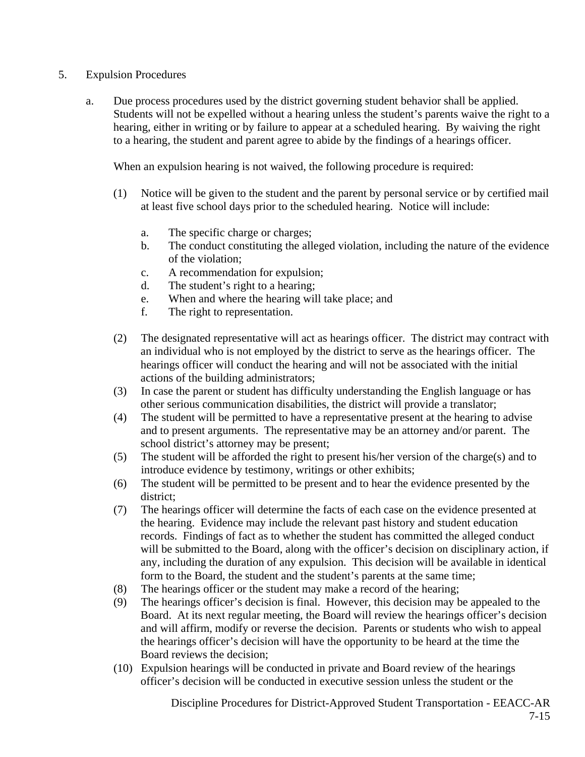- 5. Expulsion Procedures
	- a. Due process procedures used by the district governing student behavior shall be applied. Students will not be expelled without a hearing unless the student's parents waive the right to a hearing, either in writing or by failure to appear at a scheduled hearing. By waiving the right to a hearing, the student and parent agree to abide by the findings of a hearings officer.

When an expulsion hearing is not waived, the following procedure is required:

- (1) Notice will be given to the student and the parent by personal service or by certified mail at least five school days prior to the scheduled hearing. Notice will include:
	- a. The specific charge or charges;
	- b. The conduct constituting the alleged violation, including the nature of the evidence of the violation;
	- c. A recommendation for expulsion;
	- d. The student's right to a hearing;
	- e. When and where the hearing will take place; and
	- f. The right to representation.
- (2) The designated representative will act as hearings officer. The district may contract with an individual who is not employed by the district to serve as the hearings officer. The hearings officer will conduct the hearing and will not be associated with the initial actions of the building administrators;
- (3) In case the parent or student has difficulty understanding the English language or has other serious communication disabilities, the district will provide a translator;
- (4) The student will be permitted to have a representative present at the hearing to advise and to present arguments. The representative may be an attorney and/or parent. The school district's attorney may be present;
- (5) The student will be afforded the right to present his/her version of the charge(s) and to introduce evidence by testimony, writings or other exhibits;
- (6) The student will be permitted to be present and to hear the evidence presented by the district;
- (7) The hearings officer will determine the facts of each case on the evidence presented at the hearing. Evidence may include the relevant past history and student education records. Findings of fact as to whether the student has committed the alleged conduct will be submitted to the Board, along with the officer's decision on disciplinary action, if any, including the duration of any expulsion. This decision will be available in identical form to the Board, the student and the student's parents at the same time;
- (8) The hearings officer or the student may make a record of the hearing;
- (9) The hearings officer's decision is final. However, this decision may be appealed to the Board. At its next regular meeting, the Board will review the hearings officer's decision and will affirm, modify or reverse the decision. Parents or students who wish to appeal the hearings officer's decision will have the opportunity to be heard at the time the Board reviews the decision;
- (10) Expulsion hearings will be conducted in private and Board review of the hearings officer's decision will be conducted in executive session unless the student or the

Discipline Procedures for District-Approved Student Transportation - EEACC-AR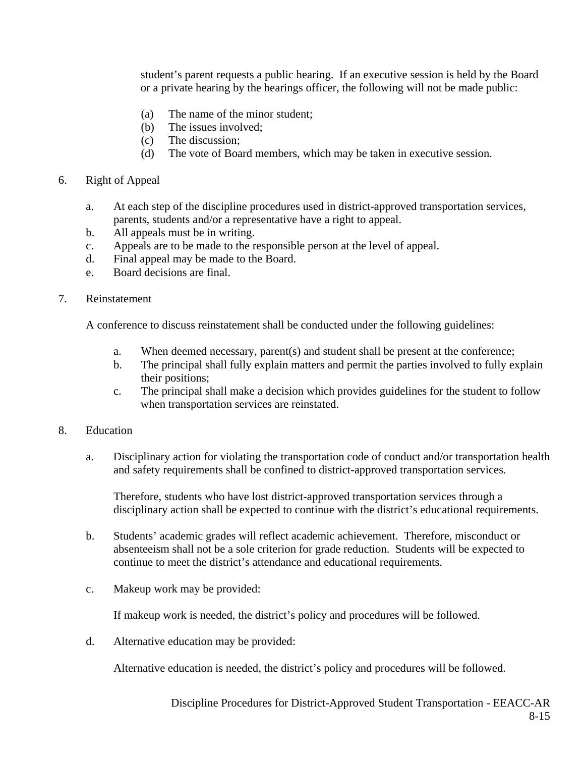student's parent requests a public hearing. If an executive session is held by the Board or a private hearing by the hearings officer, the following will not be made public:

- (a) The name of the minor student;
- (b) The issues involved;
- (c) The discussion;
- (d) The vote of Board members, which may be taken in executive session.
- 6. Right of Appeal
	- a. At each step of the discipline procedures used in district-approved transportation services, parents, students and/or a representative have a right to appeal.
	- b. All appeals must be in writing.
	- c. Appeals are to be made to the responsible person at the level of appeal.
	- d. Final appeal may be made to the Board.
	- e. Board decisions are final.
- 7. Reinstatement

A conference to discuss reinstatement shall be conducted under the following guidelines:

- a. When deemed necessary, parent(s) and student shall be present at the conference;
- b. The principal shall fully explain matters and permit the parties involved to fully explain their positions;
- c. The principal shall make a decision which provides guidelines for the student to follow when transportation services are reinstated.
- 8. Education
	- a. Disciplinary action for violating the transportation code of conduct and/or transportation health and safety requirements shall be confined to district-approved transportation services.

Therefore, students who have lost district-approved transportation services through a disciplinary action shall be expected to continue with the district's educational requirements.

- b. Students' academic grades will reflect academic achievement. Therefore, misconduct or absenteeism shall not be a sole criterion for grade reduction. Students will be expected to continue to meet the district's attendance and educational requirements.
- c. Makeup work may be provided:

If makeup work is needed, the district's policy and procedures will be followed.

d. Alternative education may be provided:

Alternative education is needed, the district's policy and procedures will be followed.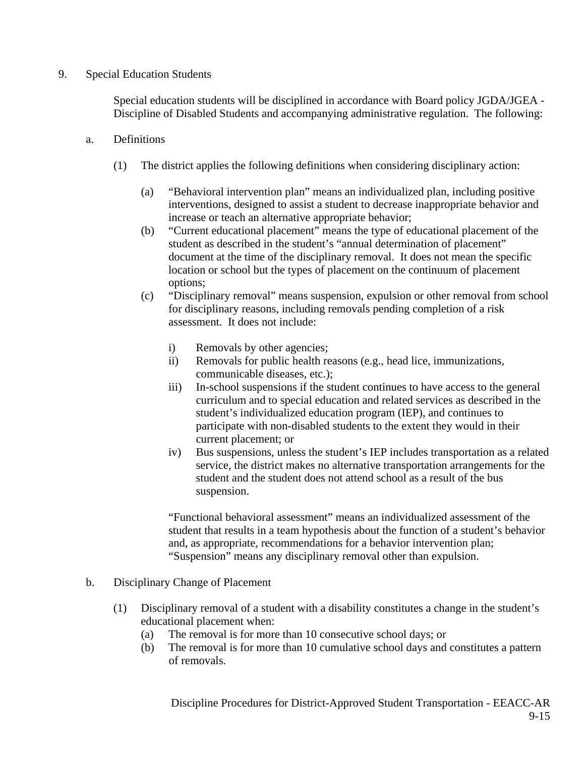#### 9. Special Education Students

Special education students will be disciplined in accordance with Board policy JGDA/JGEA - Discipline of Disabled Students and accompanying administrative regulation. The following:

- a. Definitions
	- (1) The district applies the following definitions when considering disciplinary action:
		- (a) "Behavioral intervention plan" means an individualized plan, including positive interventions, designed to assist a student to decrease inappropriate behavior and increase or teach an alternative appropriate behavior;
		- (b) "Current educational placement" means the type of educational placement of the student as described in the student's "annual determination of placement" document at the time of the disciplinary removal. It does not mean the specific location or school but the types of placement on the continuum of placement options;
		- (c) "Disciplinary removal" means suspension, expulsion or other removal from school for disciplinary reasons, including removals pending completion of a risk assessment. It does not include:
			- i) Removals by other agencies;
			- ii) Removals for public health reasons (e.g., head lice, immunizations, communicable diseases, etc.);
			- iii) In-school suspensions if the student continues to have access to the general curriculum and to special education and related services as described in the student's individualized education program (IEP), and continues to participate with non-disabled students to the extent they would in their current placement; or
			- iv) Bus suspensions, unless the student's IEP includes transportation as a related service, the district makes no alternative transportation arrangements for the student and the student does not attend school as a result of the bus suspension.

 "Functional behavioral assessment" means an individualized assessment of the student that results in a team hypothesis about the function of a student's behavior and, as appropriate, recommendations for a behavior intervention plan; "Suspension" means any disciplinary removal other than expulsion.

## b. Disciplinary Change of Placement

- (1) Disciplinary removal of a student with a disability constitutes a change in the student's educational placement when:
	- (a) The removal is for more than 10 consecutive school days; or
	- (b) The removal is for more than 10 cumulative school days and constitutes a pattern of removals.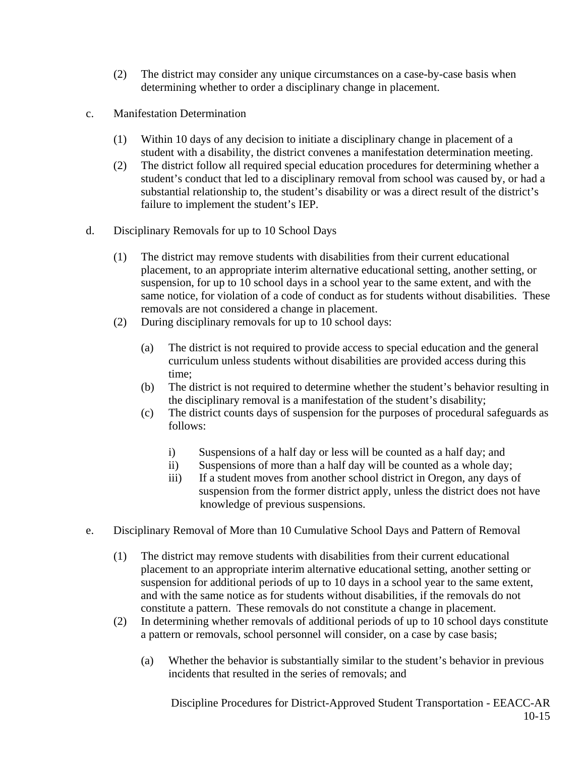- (2) The district may consider any unique circumstances on a case-by-case basis when determining whether to order a disciplinary change in placement.
- c. Manifestation Determination
	- (1) Within 10 days of any decision to initiate a disciplinary change in placement of a student with a disability, the district convenes a manifestation determination meeting.
	- (2) The district follow all required special education procedures for determining whether a student's conduct that led to a disciplinary removal from school was caused by, or had a substantial relationship to, the student's disability or was a direct result of the district's failure to implement the student's IEP.
- d. Disciplinary Removals for up to 10 School Days
	- (1) The district may remove students with disabilities from their current educational placement, to an appropriate interim alternative educational setting, another setting, or suspension, for up to 10 school days in a school year to the same extent, and with the same notice, for violation of a code of conduct as for students without disabilities. These removals are not considered a change in placement.
	- (2) During disciplinary removals for up to 10 school days:
		- (a) The district is not required to provide access to special education and the general curriculum unless students without disabilities are provided access during this time;
		- (b) The district is not required to determine whether the student's behavior resulting in the disciplinary removal is a manifestation of the student's disability;
		- (c) The district counts days of suspension for the purposes of procedural safeguards as follows:
			- i) Suspensions of a half day or less will be counted as a half day; and
			- ii) Suspensions of more than a half day will be counted as a whole day;
			- iii) If a student moves from another school district in Oregon, any days of suspension from the former district apply, unless the district does not have knowledge of previous suspensions.
- e. Disciplinary Removal of More than 10 Cumulative School Days and Pattern of Removal
	- (1) The district may remove students with disabilities from their current educational placement to an appropriate interim alternative educational setting, another setting or suspension for additional periods of up to 10 days in a school year to the same extent, and with the same notice as for students without disabilities, if the removals do not constitute a pattern. These removals do not constitute a change in placement.
	- (2) In determining whether removals of additional periods of up to 10 school days constitute a pattern or removals, school personnel will consider, on a case by case basis;
		- (a) Whether the behavior is substantially similar to the student's behavior in previous incidents that resulted in the series of removals; and

Discipline Procedures for District-Approved Student Transportation - EEACC-AR 10-15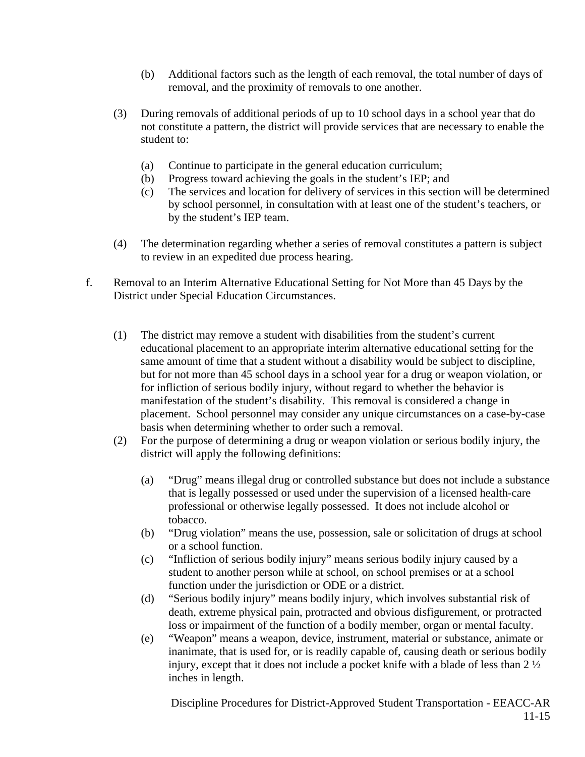- (b) Additional factors such as the length of each removal, the total number of days of removal, and the proximity of removals to one another.
- (3) During removals of additional periods of up to 10 school days in a school year that do not constitute a pattern, the district will provide services that are necessary to enable the student to:
	- (a) Continue to participate in the general education curriculum;
	- (b) Progress toward achieving the goals in the student's IEP; and
	- (c) The services and location for delivery of services in this section will be determined by school personnel, in consultation with at least one of the student's teachers, or by the student's IEP team.
- (4) The determination regarding whether a series of removal constitutes a pattern is subject to review in an expedited due process hearing.
- f. Removal to an Interim Alternative Educational Setting for Not More than 45 Days by the District under Special Education Circumstances.
	- (1) The district may remove a student with disabilities from the student's current educational placement to an appropriate interim alternative educational setting for the same amount of time that a student without a disability would be subject to discipline, but for not more than 45 school days in a school year for a drug or weapon violation, or for infliction of serious bodily injury, without regard to whether the behavior is manifestation of the student's disability. This removal is considered a change in placement. School personnel may consider any unique circumstances on a case-by-case basis when determining whether to order such a removal.
	- (2) For the purpose of determining a drug or weapon violation or serious bodily injury, the district will apply the following definitions:
		- (a) "Drug" means illegal drug or controlled substance but does not include a substance that is legally possessed or used under the supervision of a licensed health-care professional or otherwise legally possessed. It does not include alcohol or tobacco.
		- (b) "Drug violation" means the use, possession, sale or solicitation of drugs at school or a school function.
		- (c) "Infliction of serious bodily injury" means serious bodily injury caused by a student to another person while at school, on school premises or at a school function under the jurisdiction or ODE or a district.
		- (d) "Serious bodily injury" means bodily injury, which involves substantial risk of death, extreme physical pain, protracted and obvious disfigurement, or protracted loss or impairment of the function of a bodily member, organ or mental faculty.
		- (e) "Weapon" means a weapon, device, instrument, material or substance, animate or inanimate, that is used for, or is readily capable of, causing death or serious bodily injury, except that it does not include a pocket knife with a blade of less than 2 ½ inches in length.

Discipline Procedures for District-Approved Student Transportation - EEACC-AR 11-15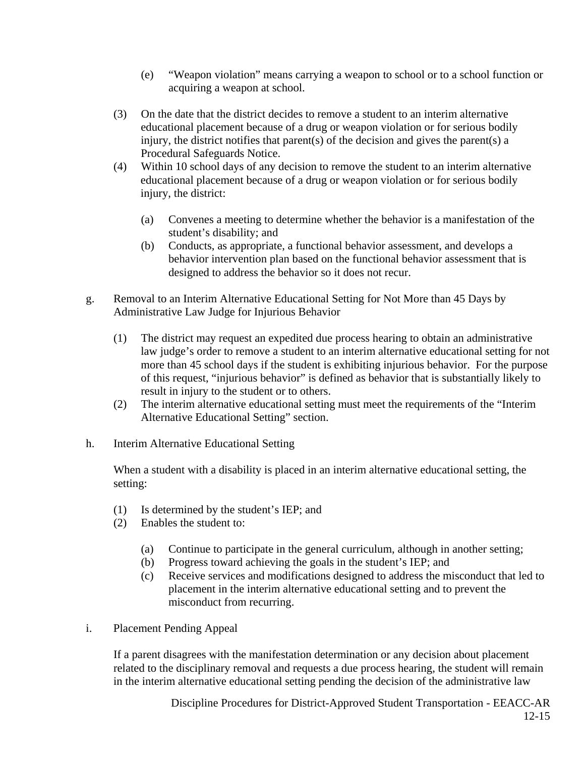- (e) "Weapon violation" means carrying a weapon to school or to a school function or acquiring a weapon at school.
- (3) On the date that the district decides to remove a student to an interim alternative educational placement because of a drug or weapon violation or for serious bodily injury, the district notifies that parent(s) of the decision and gives the parent(s) a Procedural Safeguards Notice.
- (4) Within 10 school days of any decision to remove the student to an interim alternative educational placement because of a drug or weapon violation or for serious bodily injury, the district:
	- (a) Convenes a meeting to determine whether the behavior is a manifestation of the student's disability; and
	- (b) Conducts, as appropriate, a functional behavior assessment, and develops a behavior intervention plan based on the functional behavior assessment that is designed to address the behavior so it does not recur.
- g. Removal to an Interim Alternative Educational Setting for Not More than 45 Days by Administrative Law Judge for Injurious Behavior
	- (1) The district may request an expedited due process hearing to obtain an administrative law judge's order to remove a student to an interim alternative educational setting for not more than 45 school days if the student is exhibiting injurious behavior. For the purpose of this request, "injurious behavior" is defined as behavior that is substantially likely to result in injury to the student or to others.
	- (2) The interim alternative educational setting must meet the requirements of the "Interim Alternative Educational Setting" section.
- h. Interim Alternative Educational Setting

When a student with a disability is placed in an interim alternative educational setting, the setting:

- (1) Is determined by the student's IEP; and
- (2) Enables the student to:
	- (a) Continue to participate in the general curriculum, although in another setting;
	- (b) Progress toward achieving the goals in the student's IEP; and
	- (c) Receive services and modifications designed to address the misconduct that led to placement in the interim alternative educational setting and to prevent the misconduct from recurring.
- i. Placement Pending Appeal

If a parent disagrees with the manifestation determination or any decision about placement related to the disciplinary removal and requests a due process hearing, the student will remain in the interim alternative educational setting pending the decision of the administrative law

> Discipline Procedures for District-Approved Student Transportation - EEACC-AR 12-15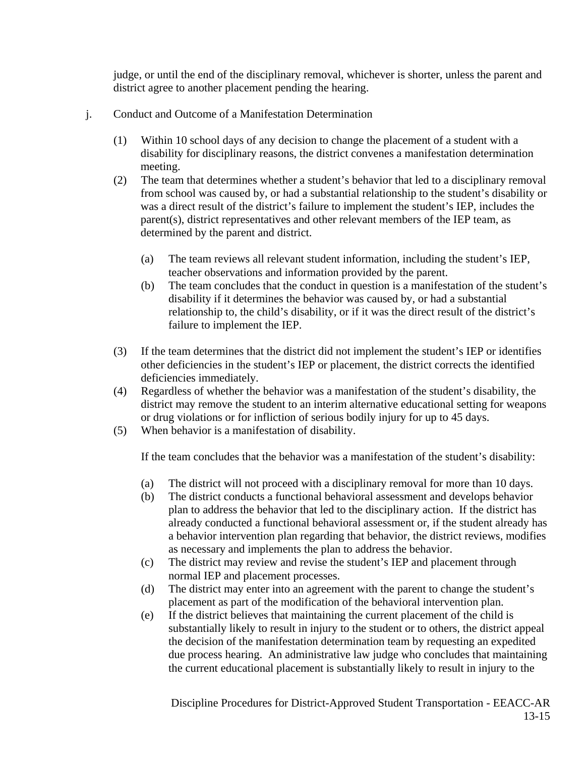judge, or until the end of the disciplinary removal, whichever is shorter, unless the parent and district agree to another placement pending the hearing.

- j. Conduct and Outcome of a Manifestation Determination
	- (1) Within 10 school days of any decision to change the placement of a student with a disability for disciplinary reasons, the district convenes a manifestation determination meeting.
	- (2) The team that determines whether a student's behavior that led to a disciplinary removal from school was caused by, or had a substantial relationship to the student's disability or was a direct result of the district's failure to implement the student's IEP, includes the parent(s), district representatives and other relevant members of the IEP team, as determined by the parent and district.
		- (a) The team reviews all relevant student information, including the student's IEP, teacher observations and information provided by the parent.
		- (b) The team concludes that the conduct in question is a manifestation of the student's disability if it determines the behavior was caused by, or had a substantial relationship to, the child's disability, or if it was the direct result of the district's failure to implement the IEP.
	- (3) If the team determines that the district did not implement the student's IEP or identifies other deficiencies in the student's IEP or placement, the district corrects the identified deficiencies immediately.
	- (4) Regardless of whether the behavior was a manifestation of the student's disability, the district may remove the student to an interim alternative educational setting for weapons or drug violations or for infliction of serious bodily injury for up to 45 days.
	- (5) When behavior is a manifestation of disability.

If the team concludes that the behavior was a manifestation of the student's disability:

- (a) The district will not proceed with a disciplinary removal for more than 10 days.
- (b) The district conducts a functional behavioral assessment and develops behavior plan to address the behavior that led to the disciplinary action. If the district has already conducted a functional behavioral assessment or, if the student already has a behavior intervention plan regarding that behavior, the district reviews, modifies as necessary and implements the plan to address the behavior.
- (c) The district may review and revise the student's IEP and placement through normal IEP and placement processes.
- (d) The district may enter into an agreement with the parent to change the student's placement as part of the modification of the behavioral intervention plan.
- (e) If the district believes that maintaining the current placement of the child is substantially likely to result in injury to the student or to others, the district appeal the decision of the manifestation determination team by requesting an expedited due process hearing. An administrative law judge who concludes that maintaining the current educational placement is substantially likely to result in injury to the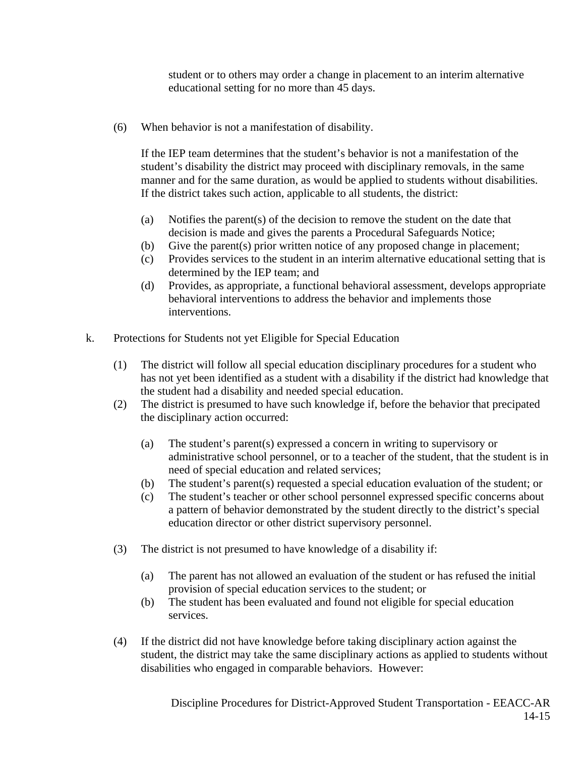student or to others may order a change in placement to an interim alternative educational setting for no more than 45 days.

(6) When behavior is not a manifestation of disability.

If the IEP team determines that the student's behavior is not a manifestation of the student's disability the district may proceed with disciplinary removals, in the same manner and for the same duration, as would be applied to students without disabilities. If the district takes such action, applicable to all students, the district:

- (a) Notifies the parent(s) of the decision to remove the student on the date that decision is made and gives the parents a Procedural Safeguards Notice;
- (b) Give the parent(s) prior written notice of any proposed change in placement;
- (c) Provides services to the student in an interim alternative educational setting that is determined by the IEP team; and
- (d) Provides, as appropriate, a functional behavioral assessment, develops appropriate behavioral interventions to address the behavior and implements those interventions.
- k. Protections for Students not yet Eligible for Special Education
	- (1) The district will follow all special education disciplinary procedures for a student who has not yet been identified as a student with a disability if the district had knowledge that the student had a disability and needed special education.
	- (2) The district is presumed to have such knowledge if, before the behavior that precipated the disciplinary action occurred:
		- (a) The student's parent(s) expressed a concern in writing to supervisory or administrative school personnel, or to a teacher of the student, that the student is in need of special education and related services;
		- (b) The student's parent(s) requested a special education evaluation of the student; or
		- (c) The student's teacher or other school personnel expressed specific concerns about a pattern of behavior demonstrated by the student directly to the district's special education director or other district supervisory personnel.
	- (3) The district is not presumed to have knowledge of a disability if:
		- (a) The parent has not allowed an evaluation of the student or has refused the initial provision of special education services to the student; or
		- (b) The student has been evaluated and found not eligible for special education services.
	- (4) If the district did not have knowledge before taking disciplinary action against the student, the district may take the same disciplinary actions as applied to students without disabilities who engaged in comparable behaviors. However: